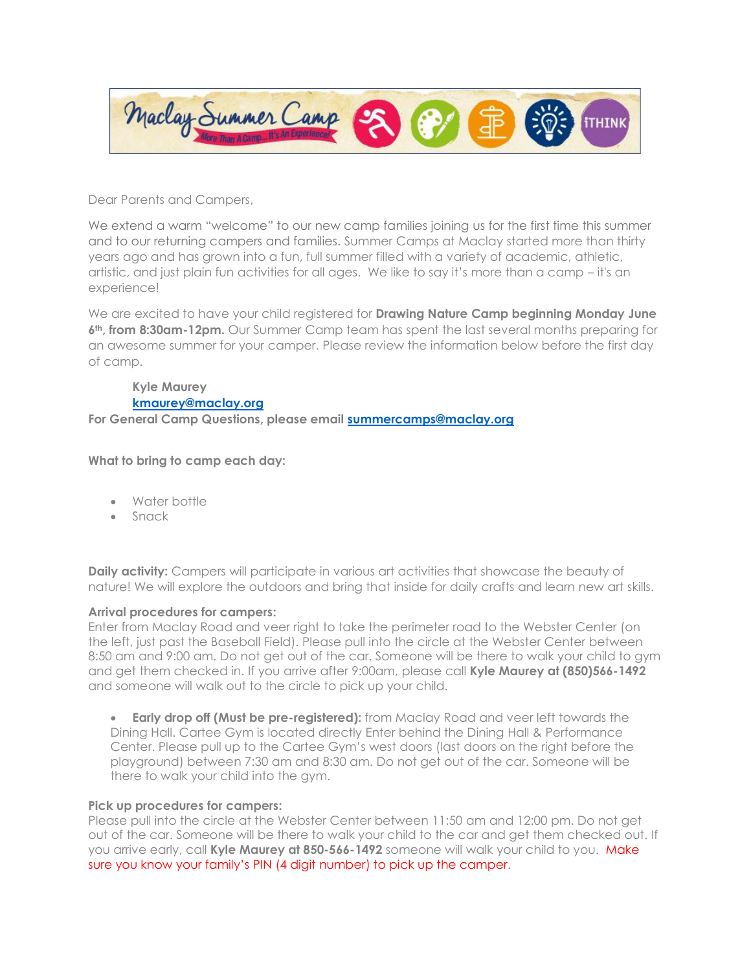

Dear Parents and Campers,

We extend a warm "welcome" to our new camp families joining us for the first time this summer and to our returning campers and families. Summer Camps at Maclay started more than thirty years ago and has grown into a fun, full summer filled with a variety of academic, athletic, artistic, and just plain fun activities for all ages. We like to say it's more than a camp – it's an experience!

We are excited to have your child registered for **Drawing Nature Camp beginning Monday June 6th, from 8:30am-12pm.** Our Summer Camp team has spent the last several months preparing for an awesome summer for your camper. Please review the information below before the first day of camp.

**Kyle Maurey [kmaurey@maclay.org](mailto:kmaurey@maclay.org)**

**For General Camp Questions, please email [summercamps@maclay.org](mailto:summercamps@maclay.org)**

**What to bring to camp each day:**

- Water bottle
- Snack

**Daily activity:** Campers will participate in various art activities that showcase the beauty of nature! We will explore the outdoors and bring that inside for daily crafts and learn new art skills.

## **Arrival procedures for campers:**

Enter from Maclay Road and veer right to take the perimeter road to the Webster Center (on the left, just past the Baseball Field). Please pull into the circle at the Webster Center between 8:50 am and 9:00 am. Do not get out of the car. Someone will be there to walk your child to gym and get them checked in. If you arrive after 9:00am, please call **Kyle Maurey at (850)566-1492** and someone will walk out to the circle to pick up your child.

**Early drop off (Must be pre-registered):** from Maclay Road and veer left towards the Dining Hall. Cartee Gym is located directly Enter behind the Dining Hall & Performance Center. Please pull up to the Cartee Gym's west doors (last doors on the right before the playground) between 7:30 am and 8:30 am. Do not get out of the car. Someone will be there to walk your child into the gym.

## **Pick up procedures for campers:**

Please pull into the circle at the Webster Center between 11:50 am and 12:00 pm. Do not get out of the car. Someone will be there to walk your child to the car and get them checked out. If you arrive early, call **Kyle Maurey at 850-566-1492** someone will walk your child to you. Make sure you know your family's PIN (4 digit number) to pick up the camper.